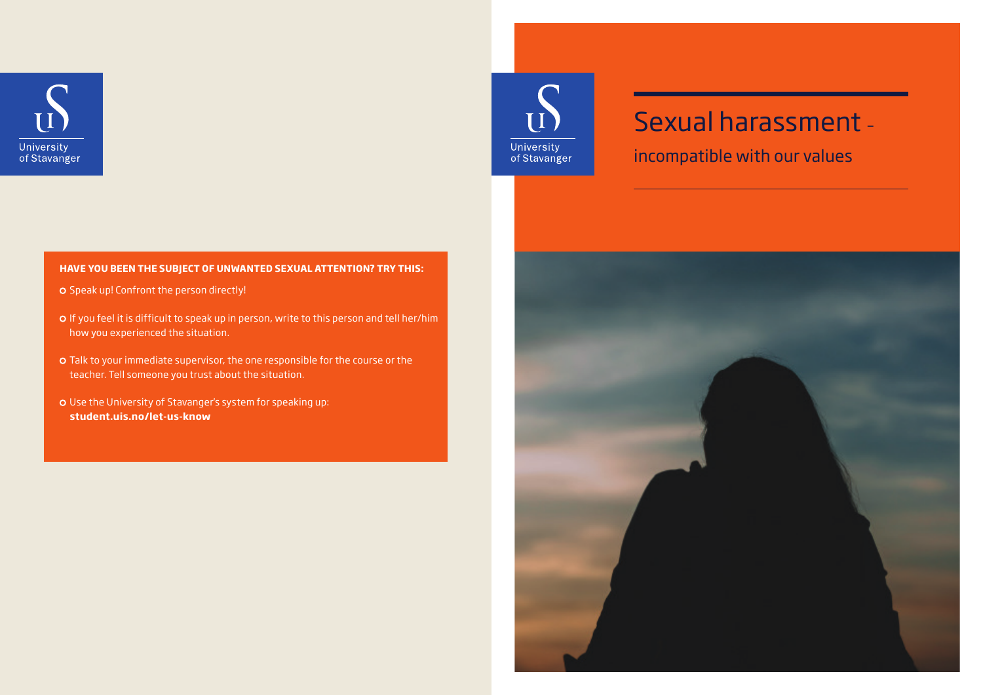

# Sexual harassment –

incompatible with our values

 $\frac{1}{11}$ 

University<br>of Stavanger

#### **HAVE YOU BEEN THE SUBJECT OF UNWANTED SEXUAL ATTENTION? TRY THIS:**

- O Speak up! Confront the person directly!
- If you feel it is difficult to speak up in person, write to this person and tell her/him how you experienced the situation.
- Talk to your immediate supervisor, the one responsible for the course or the teacher. Tell someone you trust about the situation.
- Use the University of Stavanger's system for speaking up: **student.uis.no/let-us-know**